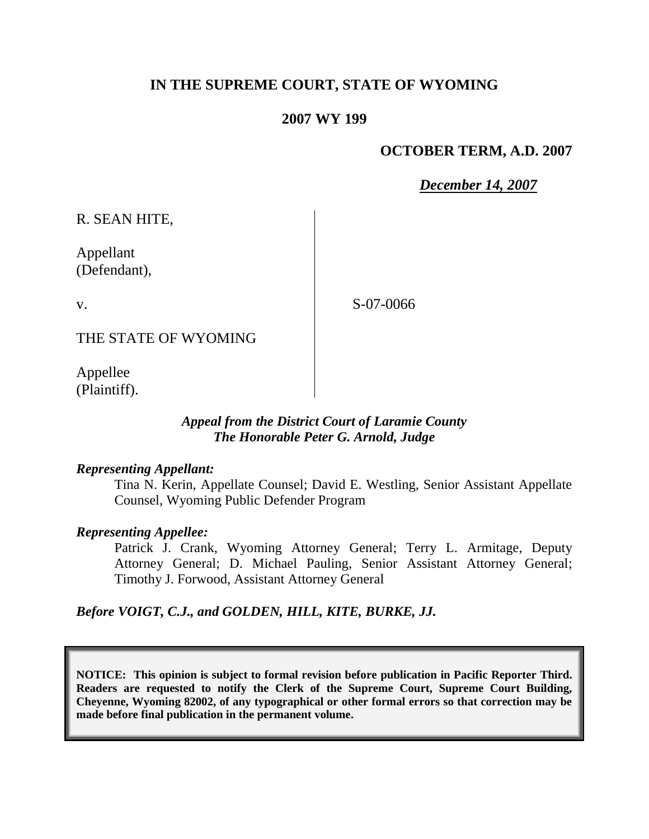# **IN THE SUPREME COURT, STATE OF WYOMING**

### **2007 WY 199**

### **OCTOBER TERM, A.D. 2007**

*December 14, 2007*

R. SEAN HITE,

Appellant (Defendant),

v.

S-07-0066

THE STATE OF WYOMING

Appellee (Plaintiff).

#### *Appeal from the District Court of Laramie County The Honorable Peter G. Arnold, Judge*

#### *Representing Appellant:*

Tina N. Kerin, Appellate Counsel; David E. Westling, Senior Assistant Appellate Counsel, Wyoming Public Defender Program

#### *Representing Appellee:*

Patrick J. Crank, Wyoming Attorney General; Terry L. Armitage, Deputy Attorney General; D. Michael Pauling, Senior Assistant Attorney General; Timothy J. Forwood, Assistant Attorney General

#### *Before VOIGT, C.J., and GOLDEN, HILL, KITE, BURKE, JJ.*

**NOTICE: This opinion is subject to formal revision before publication in Pacific Reporter Third. Readers are requested to notify the Clerk of the Supreme Court, Supreme Court Building, Cheyenne, Wyoming 82002, of any typographical or other formal errors so that correction may be made before final publication in the permanent volume.**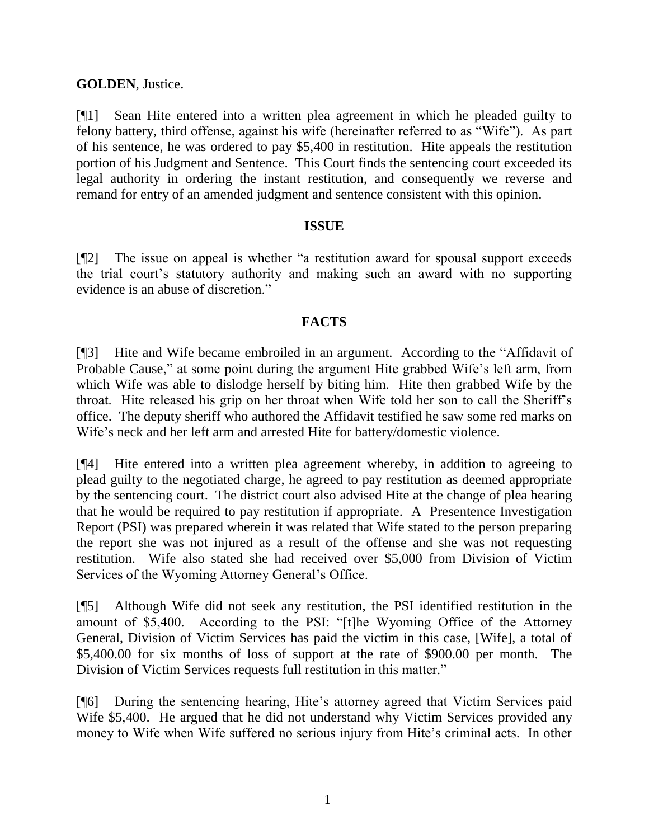## **GOLDEN**, Justice.

[¶1] Sean Hite entered into a written plea agreement in which he pleaded guilty to felony battery, third offense, against his wife (hereinafter referred to as "Wife"). As part of his sentence, he was ordered to pay \$5,400 in restitution. Hite appeals the restitution portion of his Judgment and Sentence. This Court finds the sentencing court exceeded its legal authority in ordering the instant restitution, and consequently we reverse and remand for entry of an amended judgment and sentence consistent with this opinion.

## **ISSUE**

[¶2] The issue on appeal is whether "a restitution award for spousal support exceeds the trial court's statutory authority and making such an award with no supporting evidence is an abuse of discretion."

### **FACTS**

[¶3] Hite and Wife became embroiled in an argument. According to the "Affidavit of Probable Cause," at some point during the argument Hite grabbed Wife's left arm, from which Wife was able to dislodge herself by biting him. Hite then grabbed Wife by the throat. Hite released his grip on her throat when Wife told her son to call the Sheriff's office. The deputy sheriff who authored the Affidavit testified he saw some red marks on Wife's neck and her left arm and arrested Hite for battery/domestic violence.

[¶4] Hite entered into a written plea agreement whereby, in addition to agreeing to plead guilty to the negotiated charge, he agreed to pay restitution as deemed appropriate by the sentencing court. The district court also advised Hite at the change of plea hearing that he would be required to pay restitution if appropriate. A Presentence Investigation Report (PSI) was prepared wherein it was related that Wife stated to the person preparing the report she was not injured as a result of the offense and she was not requesting restitution. Wife also stated she had received over \$5,000 from Division of Victim Services of the Wyoming Attorney General's Office.

[¶5] Although Wife did not seek any restitution, the PSI identified restitution in the amount of \$5,400. According to the PSI: "[t]he Wyoming Office of the Attorney General, Division of Victim Services has paid the victim in this case, [Wife], a total of \$5,400.00 for six months of loss of support at the rate of \$900.00 per month. The Division of Victim Services requests full restitution in this matter."

[¶6] During the sentencing hearing, Hite's attorney agreed that Victim Services paid Wife \$5,400. He argued that he did not understand why Victim Services provided any money to Wife when Wife suffered no serious injury from Hite's criminal acts. In other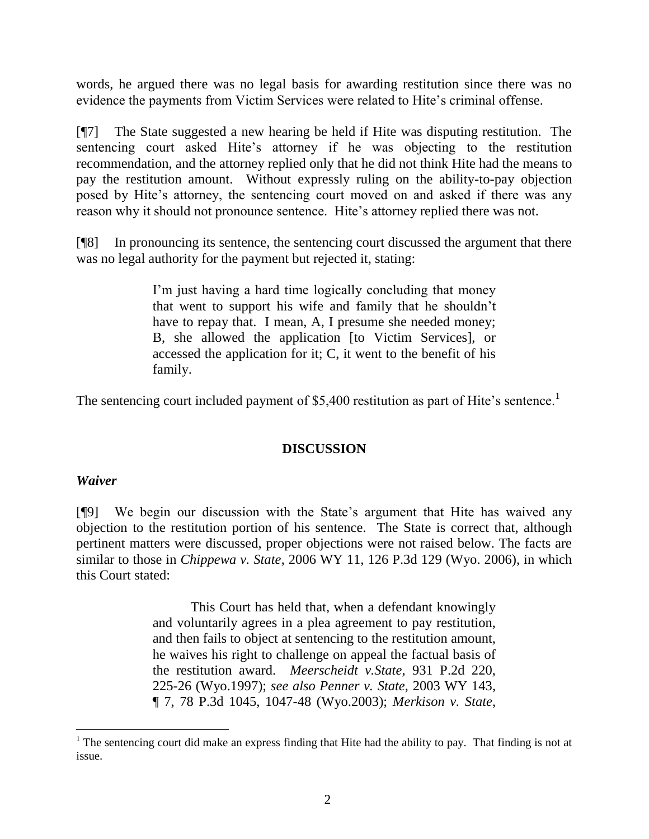words, he argued there was no legal basis for awarding restitution since there was no evidence the payments from Victim Services were related to Hite's criminal offense.

[¶7] The State suggested a new hearing be held if Hite was disputing restitution. The sentencing court asked Hite's attorney if he was objecting to the restitution recommendation, and the attorney replied only that he did not think Hite had the means to pay the restitution amount. Without expressly ruling on the ability-to-pay objection posed by Hite's attorney, the sentencing court moved on and asked if there was any reason why it should not pronounce sentence. Hite's attorney replied there was not.

[¶8] In pronouncing its sentence, the sentencing court discussed the argument that there was no legal authority for the payment but rejected it, stating:

> I'm just having a hard time logically concluding that money that went to support his wife and family that he shouldn't have to repay that. I mean, A, I presume she needed money; B, she allowed the application [to Victim Services], or accessed the application for it; C, it went to the benefit of his family.

The sentencing court included payment of \$5,400 restitution as part of Hite's sentence.<sup>1</sup>

## **DISCUSSION**

#### *Waiver*

l

[¶9] We begin our discussion with the State's argument that Hite has waived any objection to the restitution portion of his sentence. The State is correct that, although pertinent matters were discussed, proper objections were not raised below. The facts are similar to those in *Chippewa v. State*, 2006 WY 11, 126 P.3d 129 (Wyo. 2006), in which this Court stated:

> This Court has held that, when a defendant knowingly and voluntarily agrees in a plea agreement to pay restitution, and then fails to object at sentencing to the restitution amount, he waives his right to challenge on appeal the factual basis of the restitution award. *Meerscheidt v.State*, 931 P.2d 220, 225-26 (Wyo.1997); *see also Penner v. State*, 2003 WY 143, ¶ 7, 78 P.3d 1045, 1047-48 (Wyo.2003); *Merkison v. State*,

 $1$  The sentencing court did make an express finding that Hite had the ability to pay. That finding is not at issue.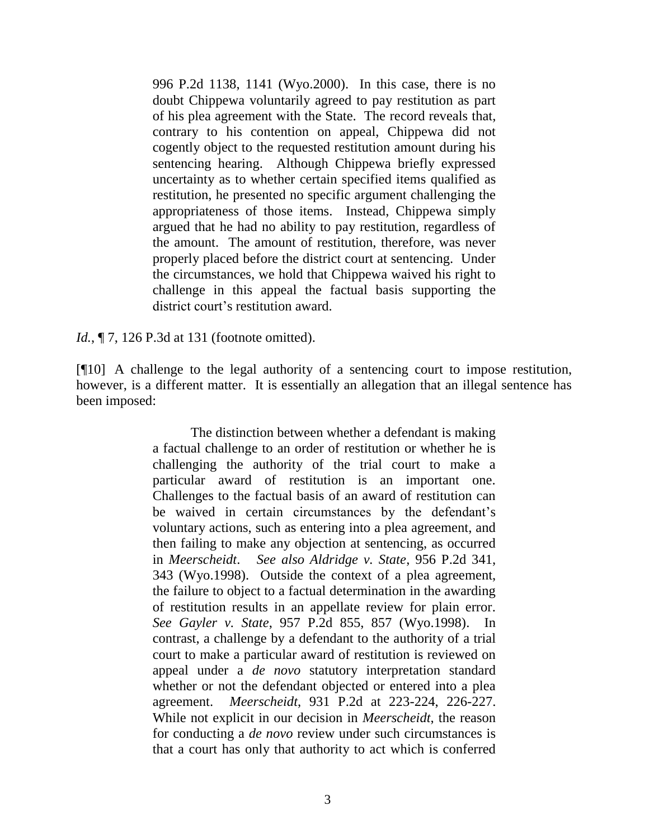996 P.2d 1138, 1141 (Wyo.2000). In this case, there is no doubt Chippewa voluntarily agreed to pay restitution as part of his plea agreement with the State. The record reveals that, contrary to his contention on appeal, Chippewa did not cogently object to the requested restitution amount during his sentencing hearing. Although Chippewa briefly expressed uncertainty as to whether certain specified items qualified as restitution, he presented no specific argument challenging the appropriateness of those items. Instead, Chippewa simply argued that he had no ability to pay restitution, regardless of the amount. The amount of restitution, therefore, was never properly placed before the district court at sentencing. Under the circumstances, we hold that Chippewa waived his right to challenge in this appeal the factual basis supporting the district court's restitution award.

*Id.*, **[7, 126 P.3d at 131 (footnote omitted).** 

[¶10] A challenge to the legal authority of a sentencing court to impose restitution, however, is a different matter. It is essentially an allegation that an illegal sentence has been imposed:

> The distinction between whether a defendant is making a factual challenge to an order of restitution or whether he is challenging the authority of the trial court to make a particular award of restitution is an important one. Challenges to the factual basis of an award of restitution can be waived in certain circumstances by the defendant's voluntary actions, such as entering into a plea agreement, and then failing to make any objection at sentencing, as occurred in *Meerscheidt*. *See also Aldridge v. State*, 956 P.2d 341, 343 (Wyo.1998). Outside the context of a plea agreement, the failure to object to a factual determination in the awarding of restitution results in an appellate review for plain error. *See Gayler v. State*, 957 P.2d 855, 857 (Wyo.1998). In contrast, a challenge by a defendant to the authority of a trial court to make a particular award of restitution is reviewed on appeal under a *de novo* statutory interpretation standard whether or not the defendant objected or entered into a plea agreement. *Meerscheidt*, 931 P.2d at 223-224, 226-227. While not explicit in our decision in *Meerscheidt*, the reason for conducting a *de novo* review under such circumstances is that a court has only that authority to act which is conferred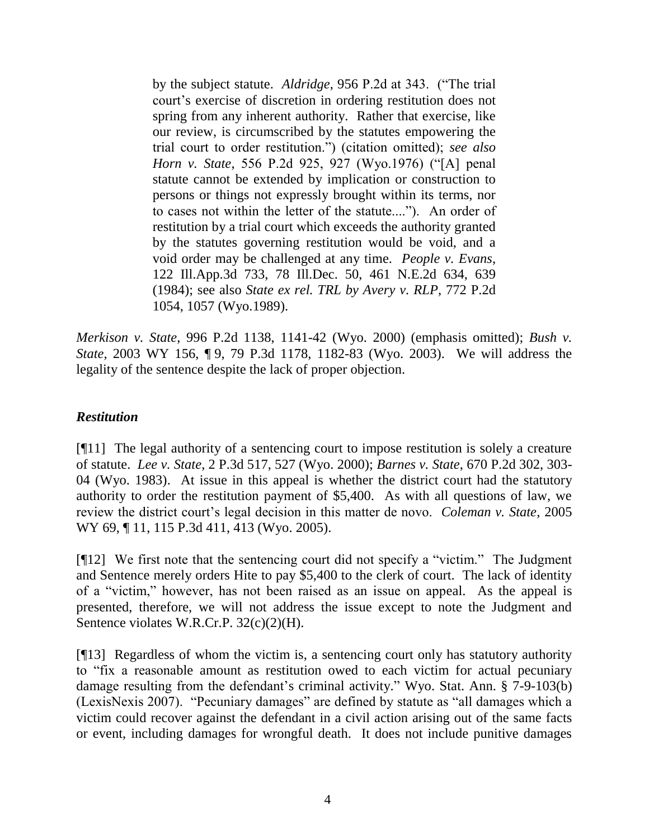by the subject statute. *Aldridge*, 956 P.2d at 343. ("The trial court's exercise of discretion in ordering restitution does not spring from any inherent authority. Rather that exercise, like our review, is circumscribed by the statutes empowering the trial court to order restitution.") (citation omitted); *see also Horn v. State*, 556 P.2d 925, 927 (Wyo.1976) ("[A] penal statute cannot be extended by implication or construction to persons or things not expressly brought within its terms, nor to cases not within the letter of the statute...."). An order of restitution by a trial court which exceeds the authority granted by the statutes governing restitution would be void, and a void order may be challenged at any time. *People v. Evans*, 122 Ill.App.3d 733, 78 Ill.Dec. 50, 461 N.E.2d 634, 639 (1984); see also *State ex rel. TRL by Avery v. RLP*, 772 P.2d 1054, 1057 (Wyo.1989).

*Merkison v. State*, 996 P.2d 1138, 1141-42 (Wyo. 2000) (emphasis omitted); *Bush v. State*, 2003 WY 156, ¶ 9, 79 P.3d 1178, 1182-83 (Wyo. 2003). We will address the legality of the sentence despite the lack of proper objection.

#### *Restitution*

[¶11] The legal authority of a sentencing court to impose restitution is solely a creature of statute. *Lee v. State*, 2 P.3d 517, 527 (Wyo. 2000); *Barnes v. State*, 670 P.2d 302, 303- 04 (Wyo. 1983). At issue in this appeal is whether the district court had the statutory authority to order the restitution payment of \$5,400. As with all questions of law, we review the district court's legal decision in this matter de novo. *Coleman v. State*, 2005 WY 69, ¶ 11, 115 P.3d 411, 413 (Wyo. 2005).

[¶12] We first note that the sentencing court did not specify a "victim." The Judgment and Sentence merely orders Hite to pay \$5,400 to the clerk of court. The lack of identity of a "victim," however, has not been raised as an issue on appeal. As the appeal is presented, therefore, we will not address the issue except to note the Judgment and Sentence violates W.R.Cr.P. 32(c)(2)(H).

[¶13] Regardless of whom the victim is, a sentencing court only has statutory authority to "fix a reasonable amount as restitution owed to each victim for actual pecuniary damage resulting from the defendant's criminal activity." Wyo. Stat. Ann. § 7-9-103(b) (LexisNexis 2007). "Pecuniary damages" are defined by statute as "all damages which a victim could recover against the defendant in a civil action arising out of the same facts or event, including damages for wrongful death. It does not include punitive damages